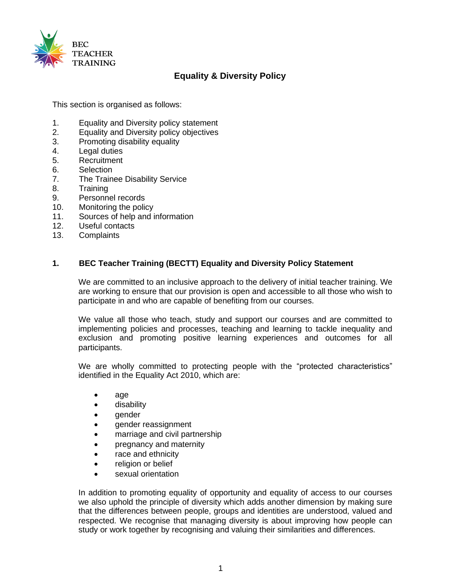

# **Equality & Diversity Policy**

This section is organised as follows:

- 1. Equality and Diversity policy statement
- 2. Equality and Diversity policy objectives
- 3. Promoting disability equality
- 4. Legal duties
- 5. Recruitment
- 6. Selection
- 7. The Trainee Disability Service
- 8. Training
- 9. Personnel records
- 10. Monitoring the policy
- 11. Sources of help and information
- 12. Useful contacts
- 13. Complaints

## **1. BEC Teacher Training (BECTT) Equality and Diversity Policy Statement**

We are committed to an inclusive approach to the delivery of initial teacher training. We are working to ensure that our provision is open and accessible to all those who wish to participate in and who are capable of benefiting from our courses.

We value all those who teach, study and support our courses and are committed to implementing policies and processes, teaching and learning to tackle inequality and exclusion and promoting positive learning experiences and outcomes for all participants.

We are wholly committed to protecting people with the "protected characteristics" identified in the Equality Act 2010, which are:

- age
- disability
- gender
- gender reassignment
- marriage and civil partnership
- pregnancy and maternity
- race and ethnicity
- religion or belief
- sexual orientation

In addition to promoting equality of opportunity and equality of access to our courses we also uphold the principle of diversity which adds another dimension by making sure that the differences between people, groups and identities are understood, valued and respected. We recognise that managing diversity is about improving how people can study or work together by recognising and valuing their similarities and differences.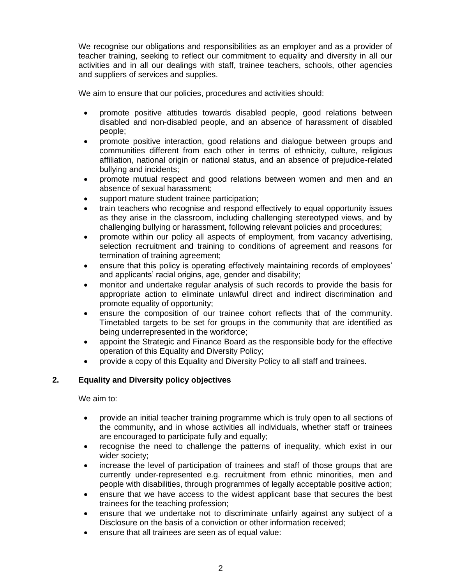We recognise our obligations and responsibilities as an employer and as a provider of teacher training, seeking to reflect our commitment to equality and diversity in all our activities and in all our dealings with staff, trainee teachers, schools, other agencies and suppliers of services and supplies.

We aim to ensure that our policies, procedures and activities should:

- promote positive attitudes towards disabled people, good relations between disabled and non-disabled people, and an absence of harassment of disabled people;
- promote positive interaction, good relations and dialogue between groups and communities different from each other in terms of ethnicity, culture, religious affiliation, national origin or national status, and an absence of prejudice-related bullying and incidents;
- promote mutual respect and good relations between women and men and an absence of sexual harassment;
- support mature student trainee participation;
- train teachers who recognise and respond effectively to equal opportunity issues as they arise in the classroom, including challenging stereotyped views, and by challenging bullying or harassment, following relevant policies and procedures;
- promote within our policy all aspects of employment, from vacancy advertising, selection recruitment and training to conditions of agreement and reasons for termination of training agreement;
- ensure that this policy is operating effectively maintaining records of employees' and applicants' racial origins, age, gender and disability;
- monitor and undertake regular analysis of such records to provide the basis for appropriate action to eliminate unlawful direct and indirect discrimination and promote equality of opportunity;
- ensure the composition of our trainee cohort reflects that of the community. Timetabled targets to be set for groups in the community that are identified as being underrepresented in the workforce;
- appoint the Strategic and Finance Board as the responsible body for the effective operation of this Equality and Diversity Policy;
- provide a copy of this Equality and Diversity Policy to all staff and trainees.

## **2. Equality and Diversity policy objectives**

We aim to:

- provide an initial teacher training programme which is truly open to all sections of the community, and in whose activities all individuals, whether staff or trainees are encouraged to participate fully and equally;
- recognise the need to challenge the patterns of inequality, which exist in our wider society;
- increase the level of participation of trainees and staff of those groups that are currently under-represented e.g. recruitment from ethnic minorities, men and people with disabilities, through programmes of legally acceptable positive action;
- ensure that we have access to the widest applicant base that secures the best trainees for the teaching profession;
- ensure that we undertake not to discriminate unfairly against any subject of a Disclosure on the basis of a conviction or other information received;
- ensure that all trainees are seen as of equal value: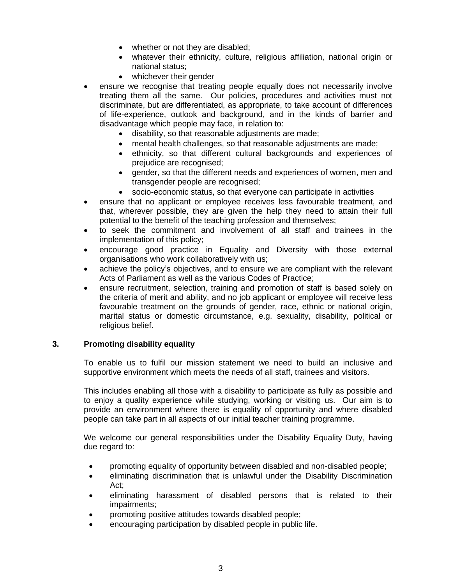- whether or not they are disabled;
- whatever their ethnicity, culture, religious affiliation, national origin or national status;
- whichever their gender
- ensure we recognise that treating people equally does not necessarily involve treating them all the same. Our policies, procedures and activities must not discriminate, but are differentiated, as appropriate, to take account of differences of life-experience, outlook and background, and in the kinds of barrier and disadvantage which people may face, in relation to:
	- disability, so that reasonable adjustments are made;
	- mental health challenges, so that reasonable adjustments are made;
	- ethnicity, so that different cultural backgrounds and experiences of prejudice are recognised;
	- gender, so that the different needs and experiences of women, men and transgender people are recognised;
	- socio-economic status, so that everyone can participate in activities
- ensure that no applicant or employee receives less favourable treatment, and that, wherever possible, they are given the help they need to attain their full potential to the benefit of the teaching profession and themselves;
- to seek the commitment and involvement of all staff and trainees in the implementation of this policy;
- encourage good practice in Equality and Diversity with those external organisations who work collaboratively with us;
- achieve the policy's objectives, and to ensure we are compliant with the relevant Acts of Parliament as well as the various Codes of Practice;
- ensure recruitment, selection, training and promotion of staff is based solely on the criteria of merit and ability, and no job applicant or employee will receive less favourable treatment on the grounds of gender, race, ethnic or national origin, marital status or domestic circumstance, e.g. sexuality, disability, political or religious belief.

## **3. Promoting disability equality**

To enable us to fulfil our mission statement we need to build an inclusive and supportive environment which meets the needs of all staff, trainees and visitors.

This includes enabling all those with a disability to participate as fully as possible and to enjoy a quality experience while studying, working or visiting us. Our aim is to provide an environment where there is equality of opportunity and where disabled people can take part in all aspects of our initial teacher training programme.

We welcome our general responsibilities under the Disability Equality Duty, having due regard to:

- promoting equality of opportunity between disabled and non-disabled people;
- eliminating discrimination that is unlawful under the Disability Discrimination Act;
- eliminating harassment of disabled persons that is related to their impairments;
- promoting positive attitudes towards disabled people;
- encouraging participation by disabled people in public life.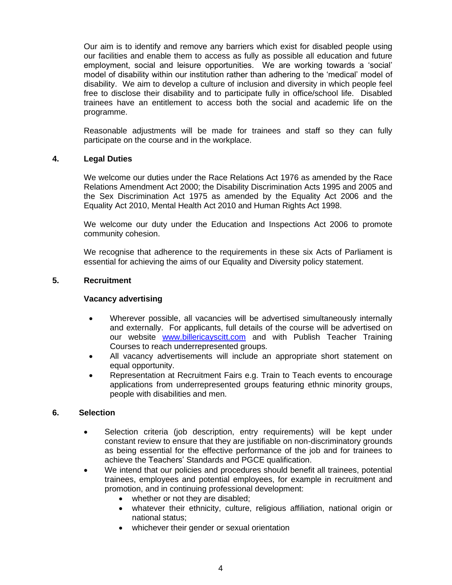Our aim is to identify and remove any barriers which exist for disabled people using our facilities and enable them to access as fully as possible all education and future employment, social and leisure opportunities. We are working towards a 'social' model of disability within our institution rather than adhering to the 'medical' model of disability. We aim to develop a culture of inclusion and diversity in which people feel free to disclose their disability and to participate fully in office/school life. Disabled trainees have an entitlement to access both the social and academic life on the programme.

Reasonable adjustments will be made for trainees and staff so they can fully participate on the course and in the workplace.

#### **4. Legal Duties**

We welcome our duties under the Race Relations Act 1976 as amended by the Race Relations Amendment Act 2000; the Disability Discrimination Acts 1995 and 2005 and the Sex Discrimination Act 1975 as amended by the Equality Act 2006 and the Equality Act 2010, Mental Health Act 2010 and Human Rights Act 1998.

We welcome our duty under the Education and Inspections Act 2006 to promote community cohesion.

We recognise that adherence to the requirements in these six Acts of Parliament is essential for achieving the aims of our Equality and Diversity policy statement.

#### **5. Recruitment**

#### **Vacancy advertising**

- Wherever possible, all vacancies will be advertised simultaneously internally and externally. For applicants, full details of the course will be advertised on our website [www.billericayscitt.com](http://www.billericayscitt.com/) and with Publish Teacher Training Courses to reach underrepresented groups.
- All vacancy advertisements will include an appropriate short statement on equal opportunity.
- Representation at Recruitment Fairs e.g. Train to Teach events to encourage applications from underrepresented groups featuring ethnic minority groups, people with disabilities and men.

#### **6. Selection**

- Selection criteria (job description, entry requirements) will be kept under constant review to ensure that they are justifiable on non-discriminatory grounds as being essential for the effective performance of the job and for trainees to achieve the Teachers' Standards and PGCE qualification.
- We intend that our policies and procedures should benefit all trainees, potential trainees, employees and potential employees, for example in recruitment and promotion, and in continuing professional development:
	- whether or not they are disabled;
	- whatever their ethnicity, culture, religious affiliation, national origin or national status;
	- whichever their gender or sexual orientation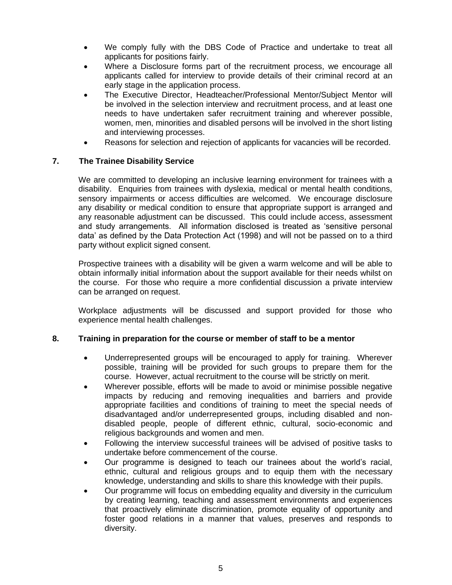- We comply fully with the DBS Code of Practice and undertake to treat all applicants for positions fairly.
- Where a Disclosure forms part of the recruitment process, we encourage all applicants called for interview to provide details of their criminal record at an early stage in the application process.
- The Executive Director, Headteacher/Professional Mentor/Subject Mentor will be involved in the selection interview and recruitment process, and at least one needs to have undertaken safer recruitment training and wherever possible, women, men, minorities and disabled persons will be involved in the short listing and interviewing processes.
- Reasons for selection and rejection of applicants for vacancies will be recorded.

# **7. The Trainee Disability Service**

We are committed to developing an inclusive learning environment for trainees with a disability. Enquiries from trainees with dyslexia, medical or mental health conditions, sensory impairments or access difficulties are welcomed. We encourage disclosure any disability or medical condition to ensure that appropriate support is arranged and any reasonable adjustment can be discussed. This could include access, assessment and study arrangements. All information disclosed is treated as 'sensitive personal data' as defined by the Data Protection Act (1998) and will not be passed on to a third party without explicit signed consent.

Prospective trainees with a disability will be given a warm welcome and will be able to obtain informally initial information about the support available for their needs whilst on the course. For those who require a more confidential discussion a private interview can be arranged on request.

Workplace adjustments will be discussed and support provided for those who experience mental health challenges.

## **8. Training in preparation for the course or member of staff to be a mentor**

- Underrepresented groups will be encouraged to apply for training. Wherever possible, training will be provided for such groups to prepare them for the course. However, actual recruitment to the course will be strictly on merit.
- Wherever possible, efforts will be made to avoid or minimise possible negative impacts by reducing and removing inequalities and barriers and provide appropriate facilities and conditions of training to meet the special needs of disadvantaged and/or underrepresented groups, including disabled and nondisabled people, people of different ethnic, cultural, socio-economic and religious backgrounds and women and men.
- Following the interview successful trainees will be advised of positive tasks to undertake before commencement of the course.
- Our programme is designed to teach our trainees about the world's racial, ethnic, cultural and religious groups and to equip them with the necessary knowledge, understanding and skills to share this knowledge with their pupils.
- Our programme will focus on embedding equality and diversity in the curriculum by creating learning, teaching and assessment environments and experiences that proactively eliminate discrimination, promote equality of opportunity and foster good relations in a manner that values, preserves and responds to diversity.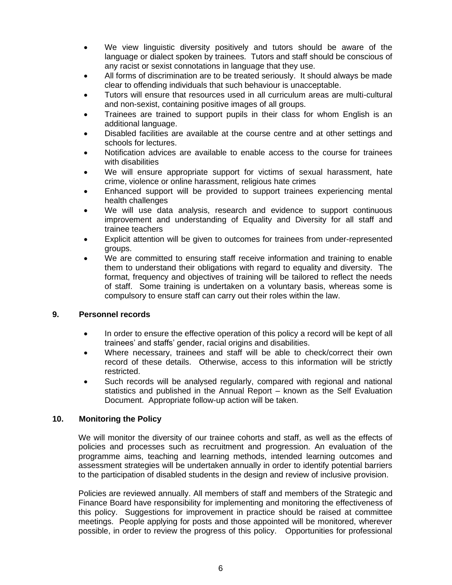- We view linguistic diversity positively and tutors should be aware of the language or dialect spoken by trainees. Tutors and staff should be conscious of any racist or sexist connotations in language that they use.
- All forms of discrimination are to be treated seriously. It should always be made clear to offending individuals that such behaviour is unacceptable.
- Tutors will ensure that resources used in all curriculum areas are multi-cultural and non-sexist, containing positive images of all groups.
- Trainees are trained to support pupils in their class for whom English is an additional language.
- Disabled facilities are available at the course centre and at other settings and schools for lectures.
- Notification advices are available to enable access to the course for trainees with disabilities
- We will ensure appropriate support for victims of sexual harassment, hate crime, violence or online harassment, religious hate crimes
- Enhanced support will be provided to support trainees experiencing mental health challenges
- We will use data analysis, research and evidence to support continuous improvement and understanding of Equality and Diversity for all staff and trainee teachers
- Explicit attention will be given to outcomes for trainees from under-represented groups.
- We are committed to ensuring staff receive information and training to enable them to understand their obligations with regard to equality and diversity. The format, frequency and objectives of training will be tailored to reflect the needs of staff. Some training is undertaken on a voluntary basis, whereas some is compulsory to ensure staff can carry out their roles within the law.

## **9. Personnel records**

- In order to ensure the effective operation of this policy a record will be kept of all trainees' and staffs' gender, racial origins and disabilities.
- Where necessary, trainees and staff will be able to check/correct their own record of these details. Otherwise, access to this information will be strictly restricted.
- Such records will be analysed regularly, compared with regional and national statistics and published in the Annual Report – known as the Self Evaluation Document. Appropriate follow-up action will be taken.

# **10. Monitoring the Policy**

We will monitor the diversity of our trainee cohorts and staff, as well as the effects of policies and processes such as recruitment and progression. An evaluation of the programme aims, teaching and learning methods, intended learning outcomes and assessment strategies will be undertaken annually in order to identify potential barriers to the participation of disabled students in the design and review of inclusive provision.

Policies are reviewed annually. All members of staff and members of the Strategic and Finance Board have responsibility for implementing and monitoring the effectiveness of this policy. Suggestions for improvement in practice should be raised at committee meetings. People applying for posts and those appointed will be monitored, wherever possible, in order to review the progress of this policy. Opportunities for professional